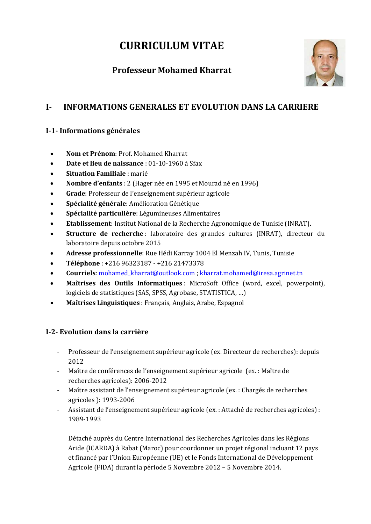# **CURRICULUM VITAE**

# **Professeur Mohamed Kharrat**



# **I- INFORMATIONS GENERALES ET EVOLUTION DANS LA CARRIERE**

#### **I-1- Informations générales**

- **Nom et Prénom**: Prof. Mohamed Kharrat
- **Date et lieu de naissance** : 01-10-1960 à Sfax
- **Situation Familiale** : marié
- **Nombre d'enfants** : 2 (Hager née en 1995 et Mourad né en 1996)
- **Grade**: Professeur de l'enseignement supérieur agricole
- **Spécialité générale**: Amélioration Génétique
- **Spécialité particulière**: Légumineuses Alimentaires
- **Etablissement**: Institut National de la Recherche Agronomique de Tunisie (INRAT).
- **Structure de recherche** : laboratoire des grandes cultures (INRAT), directeur du laboratoire depuis octobre 2015
- **Adresse professionnelle**: Rue Hédi Karray 1004 El Menzah IV, Tunis, Tunisie
- **Téléphone** : +216 96323187 +216 21473378
- **Courriels**[: mohamed\\_kharrat@outlook.com](mailto:mohamed_kharrat@outlook.com) ; [kharrat.mohamed@iresa.agrinet.tn](mailto:kharrat.mohamed@iresa.agrinet.tn)
- **Maîtrises des Outils Informatiques** : MicroSoft Office (word, excel, powerpoint), logiciels de statistiques (SAS, SPSS, Agrobase, STATISTICA, …)
- **Maîtrises Linguistiques** : Français, Anglais, Arabe, Espagnol

#### **I-2- Evolution dans la carrière**

- Professeur de l'enseignement supérieur agricole (ex. Directeur de recherches): depuis 2012
- Maître de conférences de l'enseignement supérieur agricole (ex. : Maître de recherches agricoles): 2006-2012
- Maître assistant de l'enseignement supérieur agricole (ex. : Chargés de recherches agricoles ): 1993-2006
- Assistant de l'enseignement supérieur agricole (ex. : Attaché de recherches agricoles) : 1989-1993

Détaché auprès du Centre International des Recherches Agricoles dans les Régions Aride (ICARDA) à Rabat (Maroc) pour coordonner un projet régional incluant 12 pays et financé par l'Union Européenne (UE) et le Fonds International de Développement Agricole (FIDA) durant la période 5 Novembre 2012 – 5 Novembre 2014.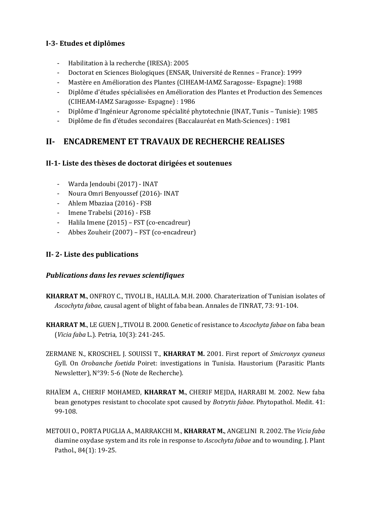#### **I-3- Etudes et diplômes**

- Habilitation à la recherche (IRESA): 2005
- Doctorat en Sciences Biologiques (ENSAR, Université de Rennes France): 1999
- Mastère en Amélioration des Plantes (CIHEAM-IAMZ Saragosse- Espagne): 1988
- Diplôme d'études spécialisées en Amélioration des Plantes et Production des Semences (CIHEAM-IAMZ Saragosse- Espagne) : 1986
- Diplôme d'Ingénieur Agronome spécialité phytotechnie (INAT, Tunis Tunisie): 1985
- Diplôme de fin d'études secondaires (Baccalauréat en Math-Sciences) : 1981

### **II- ENCADREMENT ET TRAVAUX DE RECHERCHE REALISES**

#### **II-1- Liste des thèses de doctorat dirigées et soutenues**

- Warda Jendoubi (2017) INAT
- Noura Omri Benyoussef (2016)- INAT
- Ahlem Mbaziaa (2016) FSB
- Imene Trabelsi (2016) FSB
- Halila Imene (2015) FST (co-encadreur)
- Abbes Zouheir (2007) FST (co-encadreur)

#### **II- 2- Liste des publications**

#### *Publications dans les revues scientifiques*

- **KHARRAT M.**, ONFROY C., TIVOLI B., HALILA. M.H. 2000. Charaterization of Tunisian isolates of *Ascochyta fabae*, causal agent of blight of faba bean. Annales de l'INRAT, 73: 91-104.
- **KHARRAT M.**, LE GUEN J.,.TIVOLI B. 2000. Genetic of resistance to *Ascochyta fabae* on faba bean (*Vicia faba* L.). Petria, 10(3): 241-245.
- ZERMANE N., KROSCHEL J. SOUISSI T., **KHARRAT M.** 2001. First report of *Smicronyx cyaneus* Gyll. On *Orobanche foetida* Poiret: investigations in Tunisia. Haustorium (Parasitic Plants Newsletter), N°39: 5-6 (Note de Recherche).
- RHAÏEM A., CHERIF MOHAMED, **KHARRAT M.**, CHERIF MEJDA, HARRABI M. 2002. New faba bean genotypes resistant to chocolate spot caused by *Botrytis fabae*. Phytopathol. Medit. 41: 99-108.
- METOUI O., PORTA PUGLIA A., MARRAKCHI M., **KHARRAT M.**, ANGELINI R. 2002. The *Vicia faba* diamine oxydase system and its role in response to *Ascochyta fabae* and to wounding. J. Plant Pathol., 84(1): 19-25.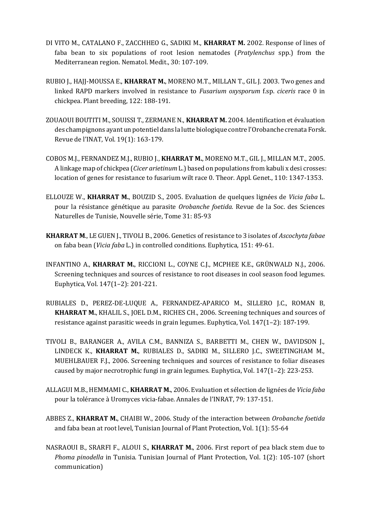- DI VITO M., CATALANO F., ZACCHHEO G., SADIKI M., **KHARRAT M.** 2002. Response of lines of faba bean to six populations of root lesion nematodes (*Pratylenchus* spp.) from the Mediterranean region. Nematol. Medit., 30: 107-109.
- RUBIO J., HAJJ-MOUSSA E., **KHARRAT M.**, MORENO M.T., MILLAN T., GIL J. 2003. Two genes and linked RAPD markers involved in resistance to *Fusarium oxysporum* f.sp. *ciceris* race 0 in chickpea. Plant breeding, 122: 188-191.
- ZOUAOUI BOUTITI M., SOUISSI T., ZERMANE N., **KHARRAT M.** 2004. Identification et évaluation des champignons ayant un potentiel dans la lutte biologique contre l'Orobanche crenata Forsk. Revue de l'INAT, Vol. 19(1): 163-179.
- COBOS M.J., FERNANDEZ M.J., RUBIO J., **KHARRAT M.**, MORENO M.T., GIL J., MILLAN M.T., 2005. A linkage map of chickpea (*Cicer arietinum* L.) based on populations from kabuli x desi crosses: location of genes for resistance to fusarium wilt race 0. Theor. Appl. Genet., 110: 1347-1353.
- ELLOUZE W., **KHARRAT M.**, BOUZID S., 2005. Evaluation de quelques lignées de *Vicia faba* L. pour la résistance génétique au parasite *Orobanche foetida.* Revue de la Soc. des Sciences Naturelles de Tunisie, Nouvelle série, Tome 31: 85-93
- **KHARRAT M**., LE GUEN J., TIVOLI B., 2006. Genetics of resistance to 3 isolates of *Ascochyta fabae* on faba bean (*Vicia faba* L.) in controlled conditions. Euphytica, 151: 49-61.
- INFANTINO A., **KHARRAT M.**, RICCIONI L., COYNE C.J., MCPHEE K.E., GRÜNWALD N.J., 2006. Screening techniques and sources of resistance to root diseases in cool season food legumes. Euphytica, Vol. 147(1–2): 201-221.
- RUBIALES D., PEREZ-DE-LUQUE A., FERNANDEZ-APARICO M., SILLERO J.C., ROMAN B, **KHARRAT M.**, KHALIL S., JOEL D.M., RICHES CH., 2006. Screening techniques and sources of resistance against parasitic weeds in grain legumes. Euphytica, Vol. 147(1–2): 187-199.
- TIVOLI B., BARANGER A., AVILA C.M., BANNIZA S., BARBETTI M., CHEN W., DAVIDSON J., LINDECK K., **KHARRAT M.**, RUBIALES D., SADIKI M., SILLERO J.C., SWEETINGHAM M., MUEHLBAUER F.J., 2006. Screening techniques and sources of resistance to foliar diseases caused by major necrotrophic fungi in grain legumes. Euphytica, Vol. 147(1–2): 223-253.
- ALLAGUI M.B., HEMMAMI C., **KHARRAT M.**, 2006. Evaluation et sélection de lignées de *Vicia faba* pour la tolérance à Uromyces vicia-fabae. Annales de l'INRAT, 79: 137-151.
- ABBES Z., **KHARRAT M.**, CHAIBI W., 2006. Study of the interaction between *Orobanche foetida* and faba bean at root level, Tunisian Journal of Plant Protection, Vol. 1(1): 55-64
- NASRAOUI B., SRARFI F., ALOUI S., **KHARRAT M.**, 2006. First report of pea black stem due to *Phoma pinodella* in Tunisia. Tunisian Journal of Plant Protection, Vol. 1(2): 105-107 (short communication)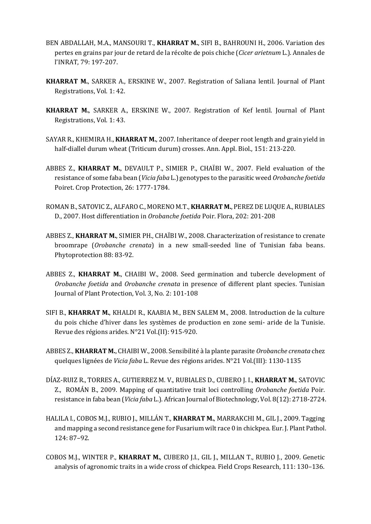- BEN ABDALLAH, M.A., MANSOURI T., **KHARRAT M.**, SIFI B., BAHROUNI H., 2006. Variation des pertes en grains par jour de retard de la récolte de pois chiche (*Cicer arietnum* L.). Annales de l'INRAT, 79: 197-207.
- **KHARRAT M.**, SARKER A., ERSKINE W., 2007. Registration of Saliana lentil. Journal of Plant Registrations, Vol. 1: 42.
- **KHARRAT M.**, SARKER A., ERSKINE W., 2007. Registration of Kef lentil. Journal of Plant Registrations, Vol. 1: 43.
- SAYAR R., KHEMIRA H., **KHARRAT M.**, 2007. Inheritance of deeper root length and grain yield in half-diallel durum wheat (Triticum durum) crosses. Ann. Appl. Biol., 151: 213-220.
- ABBES Z., **KHARRAT M.**, DEVAULT P., SIMIER P., CHAÏBI W., 2007. Field evaluation of the resistance of some faba bean (*Vicia faba* L.) genotypes to the parasitic weed *Orobanche foetida* Poiret. Crop Protection, 26: 1777-1784.
- ROMAN B., SATOVIC Z., ALFARO C., MORENO M.T., **KHARRAT M.**, PEREZ DE LUQUE A., RUBIALES D., 2007. Host differentiation in *Orobanche foetida* Poir. Flora, 202: 201-208
- ABBES Z., **KHARRAT M.**, SIMIER PH., CHAÏBI W., 2008. Characterization of resistance to crenate broomrape (*Orobanche crenata*) in a new small-seeded line of Tunisian faba beans. Phytoprotection 88: 83-92.
- ABBES Z., **KHARRAT M.**, CHAIBI W., 2008. Seed germination and tubercle development of *Orobanche foetida* and *Orobanche crenata* in presence of different plant species. Tunisian Journal of Plant Protection, Vol. 3, No. 2: 101-108
- SIFI B., **KHARRAT M.**, KHALDI R., KAABIA M., BEN SALEM M., 2008. Introduction de la culture du pois chiche d'hiver dans les systèmes de production en zone semi- aride de la Tunisie. Revue des régions arides. N°21 Vol.(II): 915-920.
- ABBES Z., **KHARRAT M.**, CHAIBI W., 2008. Sensibilité à la plante parasite *Orobanche crenata* chez quelques lignées de *Vicia faba* L. Revue des régions arides. N°21 Vol.(III): 1130-1135
- DÍAZ-RUIZ R., TORRES A., GUTIERREZ M. V., RUBIALES D., CUBERO J. I., **KHARRAT M.**, SATOVIC Z., ROMÁN B., 2009. Mapping of quantitative trait loci controlling *Orobanche foetida* Poir. resistance in faba bean (*Vicia faba* L.). African Journal of Biotechnology, Vol. 8(12): 2718-2724.
- HALILA I., COBOS M.J., RUBIO J., MILLÁN T., **KHARRAT M.**, MARRAKCHI M., GIL J., 2009. Tagging and mapping a second resistance gene for Fusarium wilt race 0 in chickpea. Eur. J. Plant Pathol. 124: 87–92.
- COBOS M.J., WINTER P., **KHARRAT M.**, CUBERO J.I., GIL J., MILLAN T., RUBIO J., 2009. Genetic analysis of agronomic traits in a wide cross of chickpea. Field Crops Research, 111: 130–136.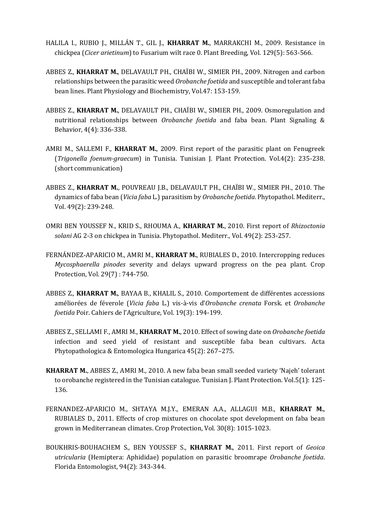- HALILA I., RUBIO J., MILLÁN T., GIL J., **KHARRAT M.**, MARRAKCHI M., 2009. Resistance in chickpea (*Cicer arietinum*) to Fusarium wilt race 0. Plant Breeding, Vol. 129(5): 563-566.
- ABBES Z., **KHARRAT M.**, DELAVAULT PH., CHAÏBI W., SIMIER PH., 2009. Nitrogen and carbon relationships between the parasitic weed *Orobanche foetida* and susceptible and tolerant faba bean lines. Plant Physiology and Biochemistry, Vol.47: 153-159.
- ABBES Z., **KHARRAT M.**, DELAVAULT PH., CHAÏBI W., SIMIER PH., 2009. Osmoregulation and nutritional relationships between *Orobanche foetida* and faba bean. Plant Signaling & Behavior, 4(4): 336-338.
- AMRI M., SALLEMI F., **KHARRAT M.**, 2009. First report of the parasitic plant on Fenugreek (*Trigonella foenum-graecum*) in Tunisia. Tunisian J. Plant Protection. Vol.4(2): 235-238. (short communication)
- ABBES Z., **KHARRAT M.**, POUVREAU J.B., DELAVAULT PH., CHAÏBI W., SIMIER PH., 2010. The dynamics of faba bean (*Vicia faba* L.) parasitism by *Orobanche foetida*. Phytopathol. Mediterr., Vol. 49(2): 239-248.
- OMRI BEN YOUSSEF N., KRID S., RHOUMA A., **KHARRAT M.**, 2010. First report of *Rhizoctonia solani* AG 2-3 on chickpea in Tunisia. Phytopathol. Mediterr., Vol. 49(2): 253-257.
- FERNÁNDEZ-APARICIO M., AMRI M., **KHARRAT M.**, RUBIALES D., 2010. Intercropping reduces *Mycosphaerella pinodes* severity and delays upward progress on the pea plant. Crop Protection, Vol. 29(7) : 744-750.
- ABBES Z., **KHARRAT M.**, BAYAA B., KHALIL S., 2010. Comportement de différentes accessions améliorées de féverole (*Vicia faba* L.) vis-à-vis d'*Orobanche crenata* Forsk. et *Orobanche foetida* Poir. Cahiers de l'Agriculture, Vol. 19(3): 194-199.
- ABBES Z., SELLAMI F., AMRI M., **KHARRAT M.**, 2010. Effect of sowing date on *Orobanche foetida* infection and seed yield of resistant and susceptible faba bean cultivars. Acta Phytopathologica & Entomologica Hungarica 45(2): 267–275.
- **KHARRAT M.**, ABBES Z., AMRI M., 2010. A new faba bean small seeded variety 'Najeh' tolerant to orobanche registered in the Tunisian catalogue. Tunisian J. Plant Protection. Vol.5(1): 125- 136.
- FERNANDEZ-APARICIO M., SHTAYA M.J.Y., EMERAN A.A., ALLAGUI M.B., **KHARRAT M.**, RUBIALES D., 2011. Effects of crop mixtures on chocolate spot development on faba bean grown in Mediterranean climates. Crop Protection, Vol. 30(8): 1015-1023.
- BOUKHRIS-BOUHACHEM S., BEN YOUSSEF S., **KHARRAT M.**, 2011. First report of *Geoica utricularia* (Hemiptera: Aphididae) population on parasitic broomrape *Orobanche foetida*. Florida Entomologist, 94(2): 343-344.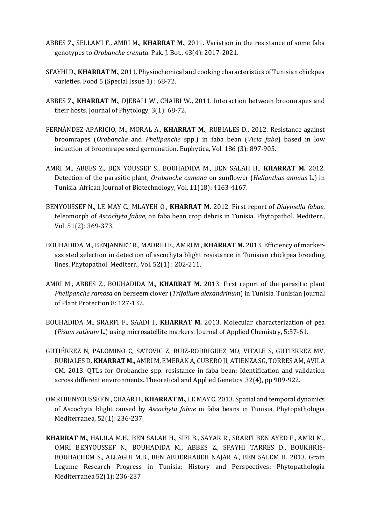- ABBES Z., SELLAMI F., AMRI M., **KHARRAT M.**, 2011. Variation in the resistance of some faba genotypes to *Orobanche crenata*. Pak. J. Bot., 43(4): 2017-2021.
- SFAYHI D., **KHARRAT M.**, 2011. Physiochemical and cooking characteristics of Tunisian chickpea varieties. Food 5 (Special Issue 1) : 68-72.
- ABBES Z., **KHARRAT M.**, DJEBALI W., CHAIBI W., 2011. Interaction between broomrapes and their hosts. Journal of Phytology, 3(1): 68-72.
- FERNÁNDEZ-APARICIO, M., MORAL A., **KHARRAT M.**, RUBIALES D., 2012. Resistance against broomrapes (*Orobanche* and *Phelipanche* spp.) in faba bean (*Vicia faba*) based in low induction of broomrape seed germination. Euphytica, Vol. 186 (3): 897-905.
- AMRI M., ABBES Z., BEN YOUSSEF S., BOUHADIDA M., BEN SALAH H., **KHARRAT M.** 2012. Detection of the parasitic plant, *Orobanche cumana* on sunflower (*Helianthus annuus* L.) in Tunisia. African Journal of Biotechnology, Vol. 11(18): 4163-4167.
- BENYOUSSEF N., LE MAY C., MLAYEH O., **KHARRAT M.** 2012. First report of *Didymella fabae*, teleomorph of *Ascochyta fabae*, on faba bean crop debris in Tunisia. Phytopathol. Mediterr., Vol. 51(2): 369-373.
- BOUHADIDA M., BENJANNET R., MADRID E., AMRI M., **KHARRAT M.** 2013. Efficiency of markerassisted selection in detection of ascochyta blight resistance in Tunisian chickpea breeding lines. Phytopathol. Mediterr., Vol. 52(1) : 202-211.
- AMRI M., ABBES Z., BOUHADIDA M., **KHARRAT M.** 2013. First report of the parasitic plant *Phelipanche ramosa* on berseem clover (*Trifolium alexandrinum*) in Tunisia. Tunisian Journal of Plant Protection 8: 127-132.
- BOUHADIDA M., SRARFI F., SAADI I., **KHARRAT M.** 2013. Molecular characterization of pea (*Pisum sativum* L.) using microsatellite markers. Journal of Applied Chemistry, 5:57-61.
- GUTIÉRREZ N, PALOMINO C, SATOVIC Z, RUIZ-RODRIGUEZ MD, VITALE S, GUTIERREZ MV, RUBIALES D, **KHARRAT M.,** AMRI M, EMERAN A, CUBERO JI, ATIENZA SG, TORRES AM, AVILA CM. 2013. QTLs for Orobanche spp. resistance in faba bean: Identification and validation across different environments. Theoretical and Applied Genetics. 32(4), pp 909-922.
- OMRI BENYOUSSEF N., CHAAR H., **KHARRAT M.**, LE MAY C. 2013. Spatial and temporal dynamics of Ascochyta blight caused by *Ascochyta fabae* in faba beans in Tunisia. Phytopathologia Mediterranea, 52(1): 236-237.
- **KHARRAT M.**, HALILA M.H., BEN SALAH H., SIFI B., SAYAR R., SRARFI BEN AYED F., AMRI M., OMRI BENYOUSSEF N., BOUHADIDA M., ABBES Z., SFAYHI TARRES D., BOUKHRIS-BOUHACHEM S., ALLAGUI M.B., BEN ABDERRABEH NAJAR A., BEN SALEM H. 2013. Grain Legume Research Progress in Tunisia: History and Perspectives: Phytopathologia Mediterranea 52(1): 236-237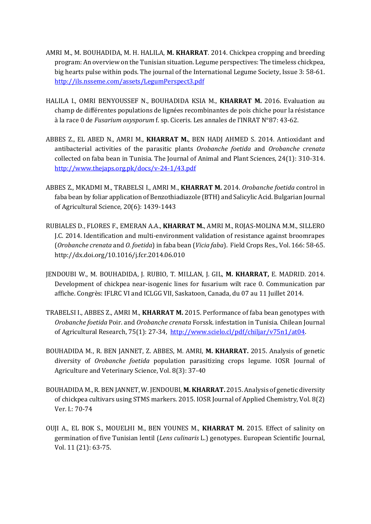- AMRI M., M. BOUHADIDA, M. H. HALILA, **M. KHARRAT**. 2014. Chickpea cropping and breeding program: An overview on the Tunisian situation. Legume perspectives: The timeless chickpea, big hearts pulse within pods. The journal of the International Legume Society, Issue 3: 58-61. <http://ils.nsseme.com/assets/LegumPerspect3.pdf>
- HALILA I., OMRI BENYOUSSEF N., BOUHADIDA KSIA M., **KHARRAT M.** 2016. Evaluation au champ de différentes populations de lignées recombinantes de pois chiche pour la résistance à la race 0 de *Fusarium oxysporum* f. sp. Ciceris. Les annales de l'INRAT N°87: 43-62.
- ABBES Z., EL ABED N., AMRI M., **KHARRAT M.**, BEN HADJ AHMED S. 2014. Antioxidant and antibacterial activities of the parasitic plants *Orobanche foetida* and *Orobanche crenata* collected on faba bean in Tunisia. The Journal of Animal and Plant Sciences, 24(1): 310-314. <http://www.thejaps.org.pk/docs/v-24-1/43.pdf>
- ABBES Z., MKADMI M., TRABELSI I., AMRI M., **KHARRAT M.** 2014. *Orobanche foetida* control in faba bean by foliar application of Benzothiadiazole (BTH) and Salicylic Acid. Bulgarian Journal of Agricultural Science, 20(6): 1439-1443
- RUBIALES D., FLORES F., EMERAN A.A., **KHARRAT M.**, AMRI M., ROJAS-MOLINA M.M., SILLERO J.C. 2014. Identification and multi-environment validation of resistance against broomrapes (*Orobanche crenata* and *O. foetida*) in faba bean (*Vicia faba*). Field Crops Res., Vol. 166: 58-65. http://dx.doi.org/10.1016/j.fcr.2014.06.010
- JENDOUBI W., M. BOUHADIDA, J. RUBIO, T. MILLAN, J. GIL, **M. KHARRAT,** E. MADRID. 2014. Development of chickpea near-isogenic lines for fusarium wilt race 0. Communication par affiche. Congrès: IFLRC VI and ICLGG VII, Saskatoon, Canada, du 07 au 11 Juillet 2014.
- TRABELSI I., ABBES Z., AMRI M., **KHARRAT M.** 2015. Performance of faba bean genotypes with *Orobanche foetida* Poir. and *Orobanche crenata* Forssk. infestation in Tunisia. Chilean Journal of Agricultural Research, 75(1): 27-34, [http://www.scielo.cl/pdf/chiljar/v75n1/at04.](http://www.scielo.cl/pdf/chiljar/v75n1/at04)
- BOUHADIDA M., R. BEN JANNET, Z. ABBES, M. AMRI, **M. KHARRAT.** 2015. Analysis of genetic diversity of *Orobanche foetida* population parasitizing crops legume. IOSR Journal of Agriculture and Veterinary Science, Vol. 8(3): 37-40
- BOUHADIDA M., R. BENJANNET, W. JENDOUBI, **M. KHARRAT.** 2015. Analysis of genetic diversity of chickpea cultivars using STMS markers. 2015. IOSR Journal of Applied Chemistry, Vol. 8(2) Ver. I.: 70-74
- OUJI A., EL BOK S., MOUELHI M., BEN YOUNES M., **KHARRAT M.** 2015. Effect of salinity on germination of five Tunisian lentil (*Lens culinaris* L.) genotypes. European Scientific Journal, Vol. 11 (21): 63-75.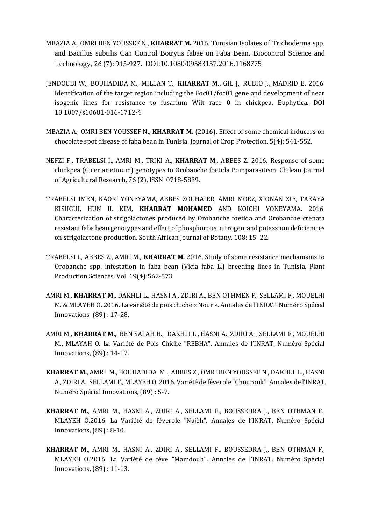- MBAZIA A., OMRI BEN YOUSSEF N., **KHARRAT M.** 2016. Tunisian Isolates of Trichoderma spp. and Bacillus subtilis Can Control Botrytis fabae on Faba Bean. Biocontrol Science and Technology, 26 (7): 915-927. DOI:10.1080/09583157.2016.1168775
- JENDOUBI W., BOUHADIDA M., MILLAN T., **KHARRAT M.,** GIL J., RUBIO J., MADRID E. 2016. Identification of the target region including the Foc01/foc01 gene and development of near isogenic lines for resistance to fusarium Wilt race 0 in chickpea. Euphytica. DOI 10.1007/s10681-016-1712-4.
- MBAZIA A., OMRI BEN YOUSSEF N., **KHARRAT M.** (2016). Effect of some chemical inducers on chocolate spot disease of faba bean in Tunisia. Journal of Crop Protection, 5(4): 541-552.
- NEFZI F., TRABELSI I., AMRI M., TRIKI A., **KHARRAT M**., ABBES Z. 2016. Response of some chickpea (Cicer arietinum) genotypes to Orobanche foetida Poir.parasitism. Chilean Journal of Agricultural Research, 76 (2), ISSN 0718-5839.
- TRABELSI IMEN, KAORI YONEYAMA, ABBES ZOUHAIER, AMRI MOEZ, XIONAN XIE, TAKAYA KISUGUI, HUN IL KIM, **KHARRAT MOHAMED** AND KOICHI YONEYAMA. 2016. Characterization of strigolactones produced by Orobanche foetida and Orobanche crenata resistant faba bean genotypes and effect of phosphorous, nitrogen, and potassium deficiencies on strigolactone production. South African Journal of Botany. 108: 15–22.
- TRABELSI I., ABBES Z., AMRI M., **KHARRAT M.** 2016. Study of some resistance mechanisms to Orobanche spp. infestation in faba bean (Vicia faba L.) breeding lines in Tunisia. Plant Production Sciences. Vol. 19(4):562-573
- AMRI M., **KHARRAT M.**, DAKHLI L., HASNI A., ZDIRI A., BEN OTHMEN F., SELLAMI F., MOUELHI M. & MLAYEH O. 2016. La variété de pois chiche « Nour ». Annales de l'INRAT. Numéro Spécial Innovations (89) : 17-28.
- AMRI M., **KHARRAT M.,** BEN SALAH H., DAKHLI L., HASNI A., ZDIRI A. , SELLAMI F., MOUELHI M., MLAYAH O. La Variété de Pois Chiche "REBHA". Annales de l'INRAT. Numéro Spécial Innovations, (89) : 14-17.
- **KHARRAT M.**, AMRI M., BOUHADIDA M ., ABBES Z., OMRI BEN YOUSSEF N., DAKHLI L., HASNI A., ZDIRI A., SELLAMI F., MLAYEH O. 2016. Variété de féverole "Chourouk". Annales de l'INRAT. Numéro Spécial Innovations, (89) : 5-7.
- **KHARRAT M.**, AMRI M., HASNI A., ZDIRI A., SELLAMI F., BOUSSEDRA J., BEN OTHMAN F., MLAYEH O.2016. La Variété de féverole "Najèh". Annales de l'INRAT. Numéro Spécial Innovations, (89) : 8-10.
- **KHARRAT M.**, AMRI M., HASNI A., ZDIRI A., SELLAMI F., BOUSSEDRA J., BEN OTHMAN F., MLAYEH O.2016. La Variété de fève "Mamdouh". Annales de l'INRAT. Numéro Spécial Innovations, (89) : 11-13.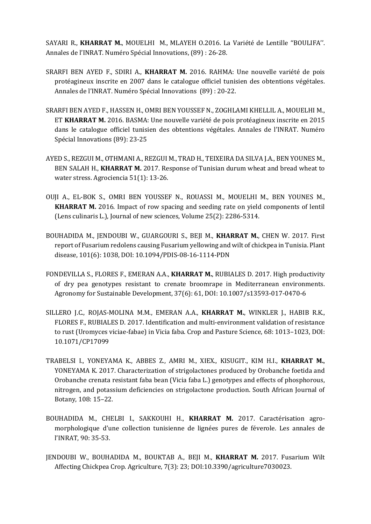SAYARI R., **KHARRAT M.**, MOUELHI M., MLAYEH O.2016. La Variété de Lentille ''BOULIFA''. Annales de l'INRAT. Numéro Spécial Innovations, (89) : 26-28.

- SRARFI BEN AYED F., SDIRI A., **KHARRAT M.** 2016. RAHMA: Une nouvelle variété de pois protéagineux inscrite en 2007 dans le catalogue officiel tunisien des obtentions végétales. Annales de l'INRAT. Numéro Spécial Innovations (89) : 20-22.
- SRARFI BEN AYED F., HASSEN H., OMRI BEN YOUSSEF N., ZOGHLAMI KHELLIL A., MOUELHI M., ET **KHARRAT M.** 2016. BASMA: Une nouvelle variété de pois protéagineux inscrite en 2015 dans le catalogue officiel tunisien des obtentions végétales. Annales de l'INRAT. Numéro Spécial Innovations (89): 23-25
- AYED S., REZGUI M., OTHMANI A., REZGUI M., TRAD H., TEIXEIRA DA SILVA J.A., BEN YOUNES M., BEN SALAH H., **KHARRAT M.** 2017. Response of Tunisian durum wheat and bread wheat to water stress. Agrociencia 51(1): 13-26.
- OUJI A., EL-BOK S., OMRI BEN YOUSSEF N., ROUASSI M., MOUELHI M., BEN YOUNES M., **KHARRAT M.** 2016. Impact of row spacing and seeding rate on yield components of lentil (Lens culinaris L.), Journal of new sciences, Volume 25(2): 2286-5314.
- BOUHADIDA M., JENDOUBI W., GUARGOURI S., BEJI M., **KHARRAT M.**, CHEN W. 2017. First report of Fusarium redolens causing Fusarium yellowing and wilt of chickpea in Tunisia. Plant disease, 101(6): 1038, DOI: 10.1094/PDIS-08-16-1114-PDN
- FONDEVILLA S., FLORES F., EMERAN A.A., **KHARRAT M.**, RUBIALES D. 2017. High productivity of dry pea genotypes resistant to crenate broomrape in Mediterranean environments. Agronomy for Sustainable Development, 37(6): 61, DOI: 10.1007/s13593-017-0470-6
- SILLERO J.C., ROJAS-MOLINA M.M., EMERAN A.A., **KHARRAT M.**, WINKLER J., HABIB R.K., FLORES F., RUBIALES D. 2017. Identification and multi-environment validation of resistance to rust (Uromyces viciae-fabae) in Vicia faba. Crop and Pasture Science, 68: 1013–1023, DOI: 10.1071/CP17099
- TRABELSI I., YONEYAMA K., ABBES Z., AMRI M., XIEX., KISUGIT., KIM H.I., **KHARRAT M.**, YONEYAMA K. 2017. Characterization of strigolactones produced by Orobanche foetida and Orobanche crenata resistant faba bean (Vicia faba L.) genotypes and effects of phosphorous, nitrogen, and potassium deficiencies on strigolactone production. South African Journal of Botany, 108: 15–22.
- BOUHADIDA M., CHELBI I., SAKKOUHI H., **KHARRAT M.** 2017. Caractérisation agromorphologique d'une collection tunisienne de lignées pures de féverole. Les annales de l'INRAT, 90: 35-53.
- JENDOUBI W., BOUHADIDA M., BOUKTAB A., BEJI M., **KHARRAT M.** 2017. Fusarium Wilt Affecting Chickpea Crop. Agriculture, 7(3): 23; DOI:10.3390/agriculture7030023.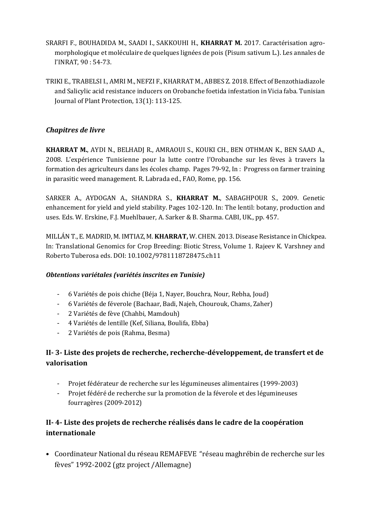- SRARFI F., BOUHADIDA M., SAADI I., SAKKOUHI H., **KHARRAT M.** 2017. Caractérisation agromorphologique et moléculaire de quelques lignées de pois (Pisum sativum L.). Les annales de l'INRAT, 90 : 54-73.
- TRIKI E., TRABELSI I., AMRI M., NEFZI F., KHARRAT M., ABBES Z. 2018. Effect of Benzothiadiazole and Salicylic acid resistance inducers on Orobanche foetida infestation in Vicia faba. Tunisian Journal of Plant Protection, 13(1): 113-125.

#### *Chapitres de livre*

**KHARRAT M.**, AYDI N., BELHADJ R., AMRAOUI S., KOUKI CH., BEN OTHMAN K., BEN SAAD A., 2008. L'expérience Tunisienne pour la lutte contre l'Orobanche sur les fèves à travers la formation des agriculteurs dans les écoles champ. Pages 79-92, In : Progress on farmer training in parasitic weed management. R. Labrada ed., FAO, Rome, pp. 156.

SARKER A., AYDOGAN A., SHANDRA S., **KHARRAT M.**, SABAGHPOUR S., 2009. Genetic enhancement for yield and yield stability. Pages 102-120. In: The lentil: botany, production and uses. Eds. W. Erskine, F.J. Muehlbauer, A. Sarker & B. Sharma. CABI, UK., pp. 457.

MILLÁNT., E. MADRID, M. IMTIAZ, M. **KHARRAT,** W. CHEN. 2013. Disease Resistance in Chickpea. In: Translational Genomics for Crop Breeding: Biotic Stress, Volume 1. Rajeev K. Varshney and Roberto Tuberosa eds. DOI: 10.1002/9781118728475.ch11

#### *Obtentions variétales (variétés inscrites en Tunisie)*

- 6 Variétés de pois chiche (Béja 1, Nayer, Bouchra, Nour, Rebha, Joud)
- 6 Variétés de féverole (Bachaar, Badi, Najeh, Chourouk, Chams, Zaher)
- 2 Variétés de fève (Chahbi, Mamdouh)
- 4 Variétés de lentille (Kef, Siliana, Boulifa, Ebba)
- 2 Variétés de pois (Rahma, Besma)

### **II- 3- Liste des projets de recherche, recherche-développement, de transfert et de valorisation**

- Projet fédérateur de recherche sur les légumineuses alimentaires (1999-2003)
- Projet fédéré de recherche sur la promotion de la féverole et des légumineuses fourragères (2009-2012)

### **II- 4- Liste des projets de recherche réalisés dans le cadre de la coopération internationale**

• Coordinateur National du réseau REMAFEVE "réseau maghrébin de recherche sur les fèves" 1992-2002 (gtz project /Allemagne)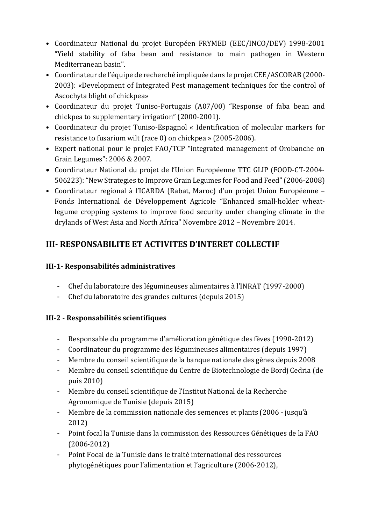- Coordinateur National du projet Européen FRYMED (EEC/INCO/DEV) 1998-2001 "Yield stability of faba bean and resistance to main pathogen in Western Mediterranean basin".
- Coordinateur de l'équipe de recherché impliquée dans le projet CEE/ASCORAB (2000- 2003): «Development of Integrated Pest management techniques for the control of Ascochyta blight of chickpea»
- Coordinateur du projet Tuniso-Portugais (A07/00) "Response of faba bean and chickpea to supplementary irrigation" (2000-2001).
- Coordinateur du projet Tuniso-Espagnol « Identification of molecular markers for resistance to fusarium wilt (race 0) on chickpea » (2005-2006).
- Expert national pour le projet FAO/TCP "integrated management of Orobanche on Grain Legumes": 2006 & 2007.
- Coordinateur National du projet de l'Union Européenne TTC GLIP (FOOD-CT-2004- 506223):"New Strategies to Improve Grain Legumes for Food and Feed" (2006-2008)
- Coordinateur regional à l'ICARDA (Rabat, Maroc) d'un projet Union Européenne Fonds International de Développement Agricole "Enhanced small-holder wheatlegume cropping systems to improve food security under changing climate in the drylands of West Asia and North Africa" Novembre 2012 – Novembre 2014.

# **III- RESPONSABILITE ET ACTIVITES D'INTERET COLLECTIF**

## **III-1- Responsabilités administratives**

- Chef du laboratoire des légumineuses alimentaires à l'INRAT (1997-2000)
- Chef du laboratoire des grandes cultures (depuis 2015)

# **III-2 - Responsabilités scientifiques**

- Responsable du programme d'amélioration génétique des fèves (1990-2012)
- Coordinateur du programme des légumineuses alimentaires (depuis 1997)
- Membre du conseil scientifique de la banque nationale des gènes depuis 2008
- Membre du conseil scientifique du Centre de Biotechnologie de Bordj Cedria (de puis 2010)
- Membre du conseil scientifique de l'Institut National de la Recherche Agronomique de Tunisie (depuis 2015)
- Membre de la commission nationale des semences et plants (2006 jusqu'à 2012)
- Point focal la Tunisie dans la commission des Ressources Génétiques de la FAO (2006-2012)
- Point Focal de la Tunisie dans le traité international des ressources phytogénétiques pour l'alimentation et l'agriculture (2006-2012),